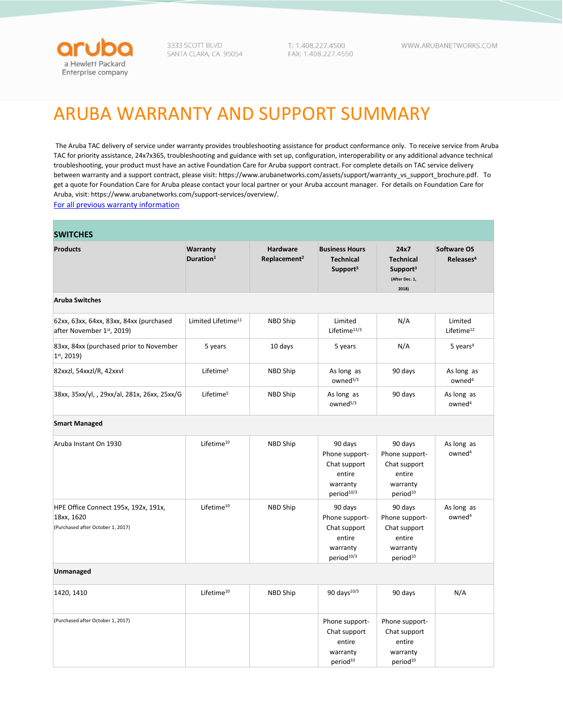

3333 SCOTT BLVD SANTA CLARA, CA 95054 T: 1.408.227.4500 FAX: 1.408.227.4550 WWW.ARUBANETWORKS.COM

## ARUBA WARRANTY AND SUPPORT SUMMARY

The Aruba TAC delivery of service under warranty provides troubleshooting assistance for product conformance only. To receive service from Aruba TAC for priority assistance, 24x7x365, troubleshooting and guidance with set up, configuration, interoperability or any additional advance technical troubleshooting, your product must have an active Foundation Care for Aruba support contract. For complete details on TAC service delivery between warranty and a support contract, please visit[: https://www.arubanetworks.com/assets/support/warranty\\_vs\\_support\\_brochure.pdf.](https://www.arubanetworks.com/assets/support/warranty_vs_support_brochure.pdf) To get a quote for Foundation Care for Aruba please contact your local partner or your Aruba account manager. For details on Foundation Care for Aruba, visit[: https://www.arubanetworks.com/support-services/overview/.](https://www.arubanetworks.com/support-services/overview/)

[For all previous warranty information](https://techlibrary.hpe.com/us/en/networking/support/warranty/index.aspx#!&tab=TABCurrent)

| <b>SWITCHES</b>                                                                         |                                   |                                             |                                                                                           |                                                                                         |                                             |  |
|-----------------------------------------------------------------------------------------|-----------------------------------|---------------------------------------------|-------------------------------------------------------------------------------------------|-----------------------------------------------------------------------------------------|---------------------------------------------|--|
| <b>Products</b>                                                                         | Warranty<br>Duration <sup>1</sup> | <b>Hardware</b><br>Replacement <sup>2</sup> | <b>Business Hours</b><br><b>Technical</b><br>Support <sup>3</sup>                         | 24x7<br><b>Technical</b><br>Support <sup>3</sup><br>(After Dec. 1,<br>2018)             | <b>Software OS</b><br>Releases <sup>4</sup> |  |
| <b>Aruba Switches</b>                                                                   |                                   |                                             |                                                                                           |                                                                                         |                                             |  |
| 62xx, 63xx, 64xx, 83xx, 84xx (purchased<br>after November 1st, 2019)                    | Limited Lifetime <sup>11</sup>    | NBD Ship                                    | Limited<br>Lifetime <sup>11/3</sup>                                                       | N/A                                                                                     | Limited<br>Lifetime <sup>12</sup>           |  |
| 83xx, 84xx (purchased prior to November<br>$1st$ , 2019)                                | 5 years                           | 10 days                                     | 5 years                                                                                   | N/A                                                                                     | $5$ years <sup>4</sup>                      |  |
| 82xxzl, 54xxzl/R, 42xxvl                                                                | Lifetime <sup>5</sup>             | NBD Ship                                    | As long as<br>owned <sup>5/3</sup>                                                        | 90 days                                                                                 | As long as<br>owned <sup>4</sup>            |  |
| 38xx, 35xx/yl, , 29xx/al, 281x, 26xx, 25xx/G                                            | Lifetime <sup>5</sup>             | NBD Ship                                    | As long as<br>owned <sup>5/3</sup>                                                        | 90 days                                                                                 | As long as<br>owned <sup>4</sup>            |  |
| <b>Smart Managed</b>                                                                    |                                   |                                             |                                                                                           |                                                                                         |                                             |  |
| Aruba Instant On 1930                                                                   | Lifetime <sup>10</sup>            | NBD Ship                                    | 90 days<br>Phone support-<br>Chat support<br>entire<br>warranty<br>period <sup>10/3</sup> | 90 days<br>Phone support-<br>Chat support<br>entire<br>warranty<br>period <sup>10</sup> | As long as<br>owned <sup>4</sup>            |  |
| HPE Office Connect 195x, 192x, 191x,<br>18xx, 1620<br>(Purchased after October 1, 2017) | Lifetime <sup>10</sup>            | NBD Ship                                    | 90 days<br>Phone support-<br>Chat support<br>entire<br>warranty<br>period <sup>10/3</sup> | 90 days<br>Phone support-<br>Chat support<br>entire<br>warranty<br>period <sup>10</sup> | As long as<br>owned <sup>4</sup>            |  |
| Unmanaged                                                                               |                                   |                                             |                                                                                           |                                                                                         |                                             |  |
| 1420, 1410                                                                              | Lifetime <sup>10</sup>            | NBD Ship                                    | 90 days <sup>10/3</sup>                                                                   | 90 days                                                                                 | N/A                                         |  |
| (Purchased after October 1, 2017)                                                       |                                   |                                             | Phone support-<br>Chat support<br>entire<br>warranty<br>period <sup>10</sup>              | Phone support-<br>Chat support<br>entire<br>warranty<br>period <sup>10</sup>            |                                             |  |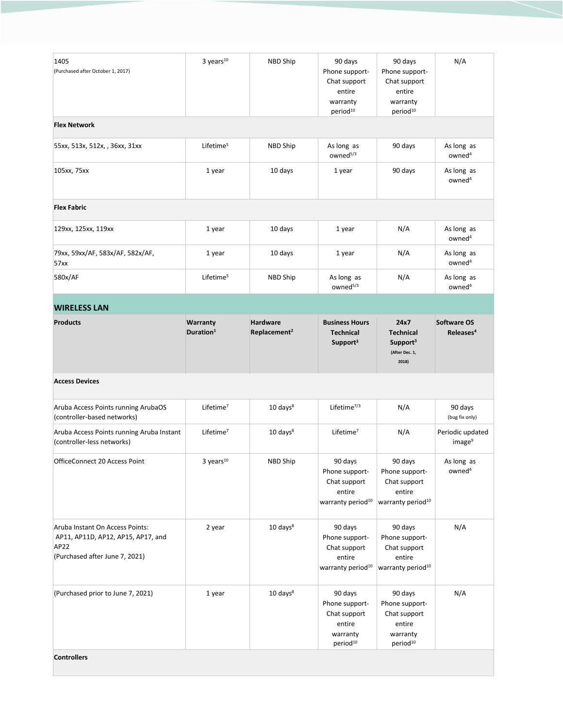| 1405<br>(Purchased after October 1, 2017)                                                                       | $3$ years <sup>10</sup>           | NBD Ship                                    | 90 days<br>Phone support-<br>Chat support<br>entire<br>warranty<br>period <sup>10</sup> | 90 days<br>Phone support-<br>Chat support<br>entire<br>warranty<br>period <sup>10</sup> | N/A                                    |
|-----------------------------------------------------------------------------------------------------------------|-----------------------------------|---------------------------------------------|-----------------------------------------------------------------------------------------|-----------------------------------------------------------------------------------------|----------------------------------------|
| <b>Flex Network</b>                                                                                             |                                   |                                             |                                                                                         |                                                                                         |                                        |
| 55xx, 513x, 512x, , 36xx, 31xx                                                                                  | Lifetime <sup>5</sup>             | NBD Ship                                    | As long as<br>owned <sup>5/3</sup>                                                      | 90 days                                                                                 | As long as<br>owned <sup>4</sup>       |
| 105xx, 75xx                                                                                                     | 1 year                            | 10 days                                     | 1 year                                                                                  | 90 days                                                                                 | As long as<br>owned <sup>4</sup>       |
| <b>Flex Fabric</b>                                                                                              |                                   |                                             |                                                                                         |                                                                                         |                                        |
| 129xx, 125xx, 119xx                                                                                             | 1 year                            | 10 days                                     | 1 year                                                                                  | N/A                                                                                     | As long as<br>owned <sup>4</sup>       |
| 79xx, 59xx/AF, 583x/AF, 582x/AF,<br>57xx                                                                        | 1 year                            | 10 days                                     | 1 year                                                                                  | N/A                                                                                     | As long as<br>owned <sup>4</sup>       |
| 580x/AF                                                                                                         | Lifetime <sup>5</sup>             | NBD Ship                                    | As long as<br>owned <sup>5/3</sup>                                                      | N/A                                                                                     | As long as<br>owned <sup>4</sup>       |
| <b>WIRELESS LAN</b>                                                                                             |                                   |                                             |                                                                                         |                                                                                         |                                        |
| <b>Products</b>                                                                                                 | Warranty<br>Duration <sup>1</sup> | <b>Hardware</b><br>Replacement <sup>2</sup> | <b>Business Hours</b><br><b>Technical</b><br>Support <sup>3</sup>                       | 24x7<br><b>Technical</b><br>Support <sup>3</sup><br>(After Dec. 1,<br>2018)             | Software OS<br>Releases <sup>4</sup>   |
| <b>Access Devices</b>                                                                                           |                                   |                                             |                                                                                         |                                                                                         |                                        |
| Aruba Access Points running ArubaOS<br>(controller-based networks)                                              | Lifetime $7$                      | $10 \text{ days}^8$                         | Lifetime $^{7/3}$                                                                       | N/A                                                                                     | 90 days<br>(bug fix only)              |
| Aruba Access Points running Aruba Instant<br>(controller-less networks)                                         | Lifetime <sup>7</sup>             | $10 \text{ days}^8$                         | Lifetime <sup>7</sup>                                                                   | N/A                                                                                     | Periodic updated<br>image <sup>9</sup> |
| OfficeConnect 20 Access Point                                                                                   | $3$ years $^{10}$                 | NBD Ship                                    | 90 days<br>Phone support-<br>Chat support<br>entire<br>warranty period <sup>10</sup>    | 90 days<br>Phone support-<br>Chat support<br>entire<br>warranty period <sup>10</sup>    | As long as<br>owned <sup>4</sup>       |
| Aruba Instant On Access Points:<br>AP11, AP11D, AP12, AP15, AP17, and<br>AP22<br>(Purchased after June 7, 2021) | 2 year                            | $10 \text{ days}^8$                         | 90 days<br>Phone support-<br>Chat support<br>entire<br>warranty period <sup>10</sup>    | 90 days<br>Phone support-<br>Chat support<br>entire<br>warranty period <sup>10</sup>    | N/A                                    |
| (Purchased prior to June 7, 2021)                                                                               | 1 year                            | $10 \text{ days}$ <sup>8</sup>              | 90 days<br>Phone support-<br>Chat support<br>entire<br>warranty<br>period <sup>10</sup> | 90 days<br>Phone support-<br>Chat support<br>entire<br>warranty<br>period <sup>10</sup> | N/A                                    |
| <b>Controllers</b>                                                                                              |                                   |                                             |                                                                                         |                                                                                         |                                        |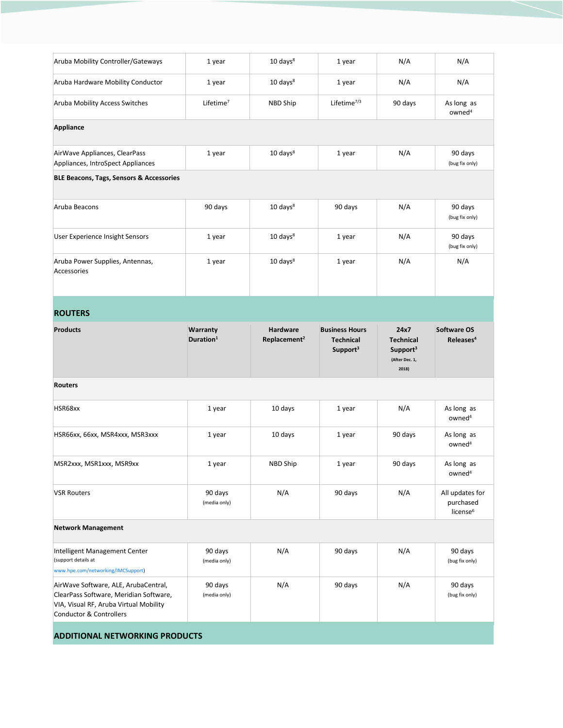| Aruba Mobility Controller/Gateways                                                         | 1 year                            | $10 \text{ days}^8$                         | 1 year                                                            | N/A                                                                         | N/A                                                  |
|--------------------------------------------------------------------------------------------|-----------------------------------|---------------------------------------------|-------------------------------------------------------------------|-----------------------------------------------------------------------------|------------------------------------------------------|
| Aruba Hardware Mobility Conductor                                                          | 1 year                            | $10 \text{ days}^8$                         | 1 year                                                            | N/A                                                                         | N/A                                                  |
| Aruba Mobility Access Switches                                                             | Lifetime <sup>7</sup>             | NBD Ship                                    | Lifetime $^{7/3}$                                                 | 90 days                                                                     | As long as<br>owned <sup>4</sup>                     |
| Appliance                                                                                  |                                   |                                             |                                                                   |                                                                             |                                                      |
| AirWave Appliances, ClearPass<br>Appliances, IntroSpect Appliances                         | 1 year                            | $10 \text{ days}^8$                         | 1 year                                                            | N/A                                                                         | 90 days<br>(bug fix only)                            |
| BLE Beacons, Tags, Sensors & Accessories                                                   |                                   |                                             |                                                                   |                                                                             |                                                      |
| Aruba Beacons                                                                              | 90 days                           | $10 \text{ days}^8$                         | 90 days                                                           | N/A                                                                         | 90 days<br>(bug fix only)                            |
| User Experience Insight Sensors                                                            | 1 year                            | $10 \text{ days}^8$                         | 1 year                                                            | N/A                                                                         | 90 days<br>(bug fix only)                            |
| Aruba Power Supplies, Antennas,<br>Accessories                                             | 1 year                            | $10 \text{ days}^8$                         | 1 year                                                            | N/A                                                                         | N/A                                                  |
| <b>ROUTERS</b>                                                                             |                                   |                                             |                                                                   |                                                                             |                                                      |
| <b>Products</b>                                                                            | Warranty<br>Duration <sup>1</sup> | <b>Hardware</b><br>Replacement <sup>2</sup> | <b>Business Hours</b><br><b>Technical</b><br>Support <sup>3</sup> | 24x7<br><b>Technical</b><br>Support <sup>3</sup><br>(After Dec. 1,<br>2018) | <b>Software OS</b><br>Releases <sup>4</sup>          |
| <b>Routers</b>                                                                             |                                   |                                             |                                                                   |                                                                             |                                                      |
| HSR68xx                                                                                    | 1 year                            | 10 days                                     | 1 year                                                            | N/A                                                                         | As long as<br>owned <sup>4</sup>                     |
| HSR66xx, 66xx, MSR4xxx, MSR3xxx                                                            | 1 year                            | 10 days                                     | 1 year                                                            | 90 days                                                                     | As long as<br>owned <sup>4</sup>                     |
| MSR2xxx, MSR1xxx, MSR9xx                                                                   | 1 year                            | NBD Ship                                    | 1 year                                                            | 90 days                                                                     | As long as<br>owned <sup>4</sup>                     |
| <b>VSR Routers</b>                                                                         | 90 days<br>(media only)           | N/A                                         | 90 days                                                           | N/A                                                                         | All updates for<br>purchased<br>license <sup>6</sup> |
| <b>Network Management</b>                                                                  |                                   |                                             |                                                                   |                                                                             |                                                      |
| Intelligent Management Center<br>(support details at<br>www.hpe.com/networking/IMCSupport) | 90 days<br>(media only)           | N/A                                         | 90 days                                                           | N/A                                                                         | 90 days<br>(bug fix only)                            |
| AirWave Software, ALE, ArubaCentral,<br>ClearPass Software, Meridian Software,             | 90 days                           | N/A                                         | 90 days                                                           | N/A                                                                         | 90 days                                              |
| VIA, Visual RF, Aruba Virtual Mobility<br>Conductor & Controllers                          | (media only)                      |                                             |                                                                   |                                                                             | (bug fix only)                                       |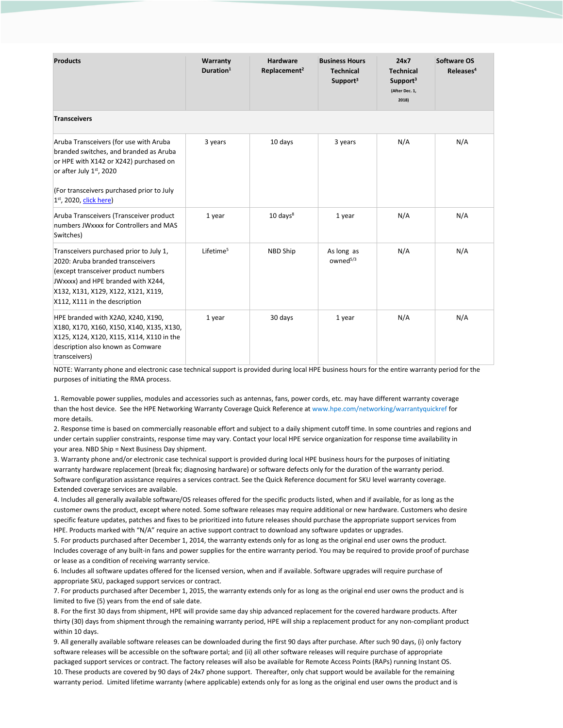| <b>Products</b>                                                                                                                                                                                                                  | Warranty<br>Duration $1$ | <b>Hardware</b><br>Replacement <sup>2</sup> | <b>Business Hours</b><br><b>Technical</b><br>Support <sup>3</sup> | 24x7<br><b>Technical</b><br>Support <sup>3</sup><br>(After Dec. 1,<br>2018) | Software OS<br>Releases <sup>4</sup> |  |  |
|----------------------------------------------------------------------------------------------------------------------------------------------------------------------------------------------------------------------------------|--------------------------|---------------------------------------------|-------------------------------------------------------------------|-----------------------------------------------------------------------------|--------------------------------------|--|--|
| <b>Transceivers</b>                                                                                                                                                                                                              |                          |                                             |                                                                   |                                                                             |                                      |  |  |
| Aruba Transceivers (for use with Aruba<br>branded switches, and branded as Aruba<br>or HPE with X142 or X242) purchased on<br>or after July 1st, 2020<br>(For transceivers purchased prior to July<br>$1st$ , 2020, click here)  | 3 years                  | 10 days                                     | 3 years                                                           | N/A                                                                         | N/A                                  |  |  |
| Aruba Transceivers (Transceiver product<br>numbers JWxxxx for Controllers and MAS<br>Switches)                                                                                                                                   | 1 year                   | $10 \text{ days}^8$                         | 1 year                                                            | N/A                                                                         | N/A                                  |  |  |
| Transceivers purchased prior to July 1,<br>2020: Aruba branded transceivers<br>(except transceiver product numbers<br>JWxxxx) and HPE branded with X244,<br>X132, X131, X129, X122, X121, X119,<br>X112, X111 in the description | Lifetime <sup>5</sup>    | <b>NBD Ship</b>                             | As long as<br>owned <sup>5/3</sup>                                | N/A                                                                         | N/A                                  |  |  |
| HPE branded with X2A0, X240, X190,<br>X180, X170, X160, X150, X140, X135, X130,<br>X125, X124, X120, X115, X114, X110 in the<br>description also known as Comware<br>transceivers)                                               | 1 year                   | 30 days                                     | 1 year                                                            | N/A                                                                         | N/A                                  |  |  |

NOTE: Warranty phone and electronic case technical support is provided during local HPE business hours for the entire warranty period for the purposes of initiating the RMA process.

1. Removable power supplies, modules and accessories such as antennas, fans, power cords, etc. may have different warranty coverage than the host device. See the HPE Networking Warranty Coverage Quick Reference at www.hpe.com/networking/warrantyquickref for more details.

2. Response time is based on commercially reasonable effort and subject to a daily shipment cutoff time. In some countries and regions and under certain supplier constraints, response time may vary. Contact your local HPE service organization for response time availability in your area. NBD Ship = Next Business Day shipment.

3. Warranty phone and/or electronic case technical support is provided during local HPE business hours for the purposes of initiating warranty hardware replacement (break fix; diagnosing hardware) or software defects only for the duration of the warranty period. Software configuration assistance requires a services contract. See the Quick Reference document for SKU level warranty coverage. Extended coverage services are available.

4. Includes all generally available software/OS releases offered for the specific products listed, when and if available, for as long as the customer owns the product, except where noted. Some software releases may require additional or new hardware. Customers who desire specific feature updates, patches and fixes to be prioritized into future releases should purchase the appropriate support services from HPE. Products marked with "N/A" require an active support contract to download any software updates or upgrades.

5. For products purchased after December 1, 2014, the warranty extends only for as long as the original end user owns the product. Includes coverage of any built-in fans and power supplies for the entire warranty period. You may be required to provide proof of purchase or lease as a condition of receiving warranty service.

6. Includes all software updates offered for the licensed version, when and if available. Software upgrades will require purchase of appropriate SKU, packaged support services or contract.

7. For products purchased after December 1, 2015, the warranty extends only for as long as the original end user owns the product and is limited to five (5) years from the end of sale date.

8. For the first 30 days from shipment, HPE will provide same day ship advanced replacement for the covered hardware products. After thirty (30) days from shipment through the remaining warranty period, HPE will ship a replacement product for any non-compliant product within 10 days.

9. All generally available software releases can be downloaded during the first 90 days after purchase. After such 90 days, (i) only factory software releases will be accessible on the software portal; and (ii) all other software releases will require purchase of appropriate packaged support services or contract. The factory releases will also be available for Remote Access Points (RAPs) running Instant OS. 10. These products are covered by 90 days of 24x7 phone support. Thereafter, only chat support would be available for the remaining warranty period. Limited lifetime warranty (where applicable) extends only for as long as the original end user owns the product and is